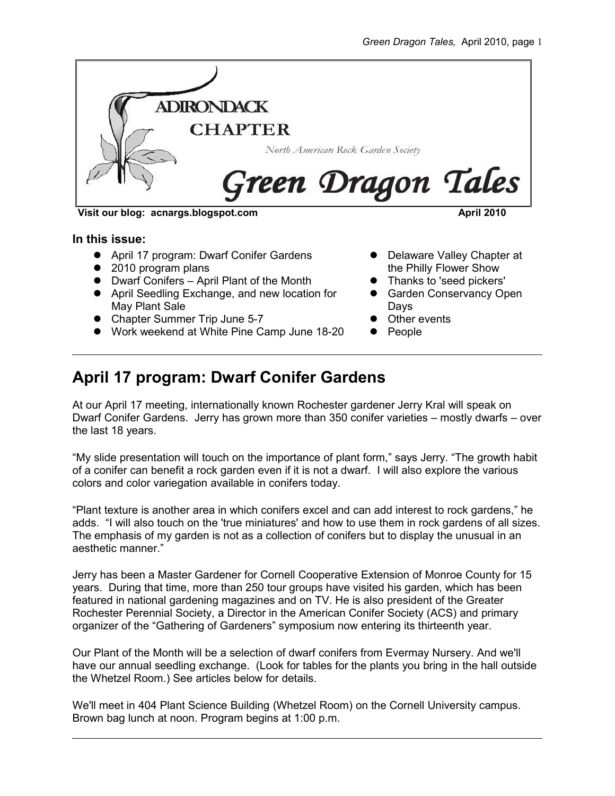

**Visit our blog: acnargs.blogspot.com April 2010**

**In this issue:**

- April 17 program: Dwarf Conifer Gardens
- 2010 program plans
- Dwarf Conifers April Plant of the Month
- April Seedling Exchange, and new location for May Plant Sale
- Chapter Summer Trip June 5-7
- Work weekend at White Pine Camp June 18-20
- Delaware Valley Chapter at the Philly Flower Show
- Thanks to 'seed pickers'
- **Garden Conservancy Open** Days
- Other events
- $\bullet$  People

## **April 17 program: Dwarf Conifer Gardens**

At our April 17 meeting, internationally known Rochester gardener Jerry Kral will speak on Dwarf Conifer Gardens. Jerry has grown more than 350 conifer varieties – mostly dwarfs – over the last 18 years.

"My slide presentation will touch on the importance of plant form," says Jerry. "The growth habit of a conifer can benefit a rock garden even if it is not a dwarf. I will also explore the various colors and color variegation available in conifers today.

"Plant texture is another area in which conifers excel and can add interest to rock gardens," he adds. "I will also touch on the 'true miniatures' and how to use them in rock gardens of all sizes. The emphasis of my garden is not as a collection of conifers but to display the unusual in an aesthetic manner."

Jerry has been a Master Gardener for Cornell Cooperative Extension of Monroe County for 15 years. During that time, more than 250 tour groups have visited his garden, which has been featured in national gardening magazines and on TV. He is also president of the Greater Rochester Perennial Society, a Director in the American Conifer Society (ACS) and primary organizer of the "Gathering of Gardeners" symposium now entering its thirteenth year.

Our Plant of the Month will be a selection of dwarf conifers from Evermay Nursery. And we'll have our annual seedling exchange. (Look for tables for the plants you bring in the hall outside the Whetzel Room.) See articles below for details.

We'll meet in 404 Plant Science Building (Whetzel Room) on the Cornell University campus. Brown bag lunch at noon. Program begins at 1:00 p.m.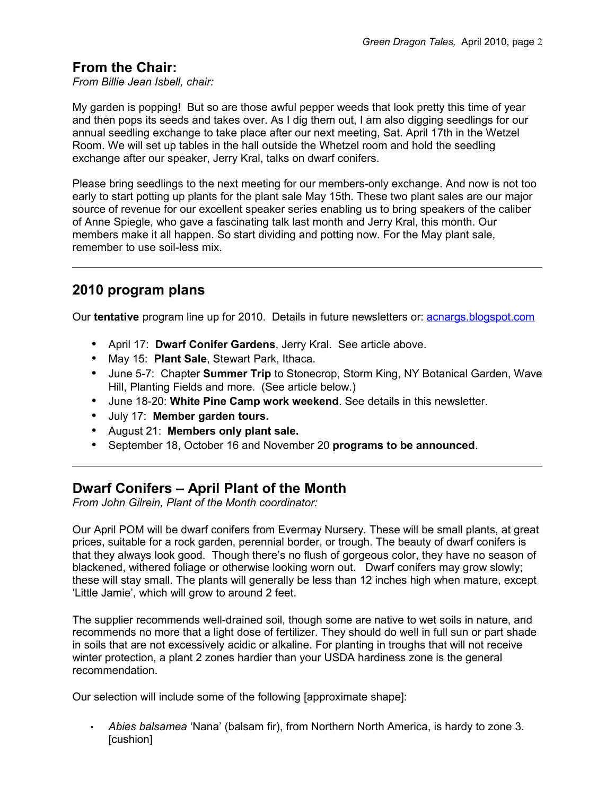#### **From the Chair:**

*From Billie Jean Isbell, chair:*

My garden is popping! But so are those awful pepper weeds that look pretty this time of year and then pops its seeds and takes over. As I dig them out, I am also digging seedlings for our annual seedling exchange to take place after our next meeting, Sat. April 17th in the Wetzel Room. We will set up tables in the hall outside the Whetzel room and hold the seedling exchange after our speaker, Jerry Kral, talks on dwarf conifers.

Please bring seedlings to the next meeting for our members-only exchange. And now is not too early to start potting up plants for the plant sale May 15th. These two plant sales are our major source of revenue for our excellent speaker series enabling us to bring speakers of the caliber of Anne Spiegle, who gave a fascinating talk last month and Jerry Kral, this month. Our members make it all happen. So start dividing and potting now. For the May plant sale, remember to use soil-less mix.

#### **2010 program plans**

Our **tentative** program line up for 2010. Details in future newsletters or: [acnargs.blogspot.com](http://acnargs.blogspot.com/)

- April 17: **Dwarf Conifer Gardens**, Jerry Kral. See article above.
- May 15: **Plant Sale**, Stewart Park, Ithaca.
- June 5-7: Chapter **Summer Trip** to Stonecrop, Storm King, NY Botanical Garden, Wave Hill, Planting Fields and more. (See article below.)
- June 18-20: **White Pine Camp work weekend**. See details in this newsletter.
- July 17: **Member garden tours.**
- August 21: **Members only plant sale.**
- September 18, October 16 and November 20 **programs to be announced**.

#### **Dwarf Conifers – April Plant of the Month**

*From John Gilrein, Plant of the Month coordinator:*

Our April POM will be dwarf conifers from Evermay Nursery. These will be small plants, at great prices, suitable for a rock garden, perennial border, or trough. The beauty of dwarf conifers is that they always look good. Though there's no flush of gorgeous color, they have no season of blackened, withered foliage or otherwise looking worn out. Dwarf conifers may grow slowly; these will stay small. The plants will generally be less than 12 inches high when mature, except 'Little Jamie', which will grow to around 2 feet.

The supplier recommends well-drained soil, though some are native to wet soils in nature, and recommends no more that a light dose of fertilizer. They should do well in full sun or part shade in soils that are not excessively acidic or alkaline. For planting in troughs that will not receive winter protection, a plant 2 zones hardier than your USDA hardiness zone is the general recommendation.

Our selection will include some of the following [approximate shape]:

• *Abies balsamea* 'Nana' (balsam fir), from Northern North America, is hardy to zone 3. [cushion]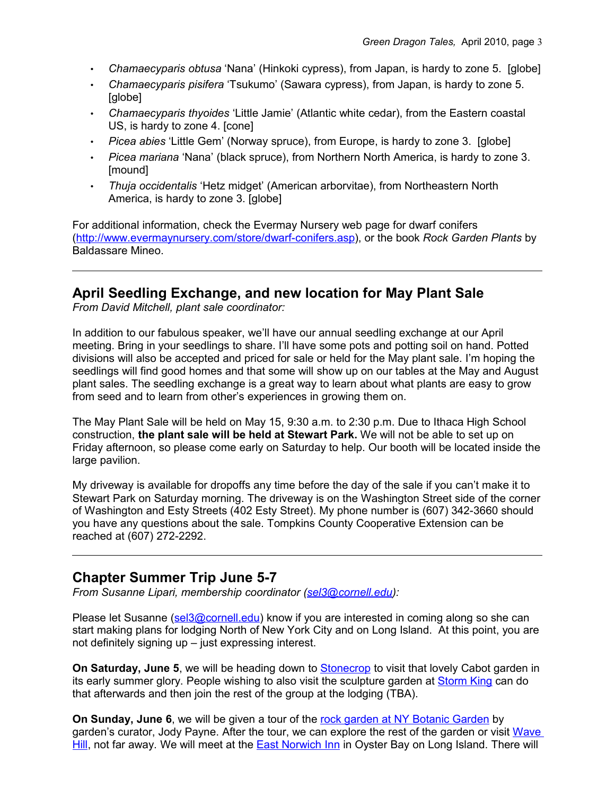- *Chamaecyparis obtusa* 'Nana' (Hinkoki cypress), from Japan, is hardy to zone 5. [globe]
- *Chamaecyparis pisifera* 'Tsukumo' (Sawara cypress), from Japan, is hardy to zone 5. [globe]
- *Chamaecyparis thyoides* 'Little Jamie' (Atlantic white cedar), from the Eastern coastal US, is hardy to zone 4. [cone]
- *Picea abies* 'Little Gem' (Norway spruce), from Europe, is hardy to zone 3. [globe]
- *Picea mariana* 'Nana' (black spruce), from Northern North America, is hardy to zone 3. [mound]
- *Thuja occidentalis* 'Hetz midget' (American arborvitae), from Northeastern North America, is hardy to zone 3. [globe]

For additional information, check the Evermay Nursery web page for dwarf conifers [\(http://www.evermaynursery.com/store/dwarf-conifers.asp\)](http://www.evermaynursery.com/store/dwarf-conifers.asp), or the book *Rock Garden Plants* by Baldassare Mineo.

#### **April Seedling Exchange, and new location for May Plant Sale**

*From David Mitchell, plant sale coordinator:*

In addition to our fabulous speaker, we'll have our annual seedling exchange at our April meeting. Bring in your seedlings to share. I'll have some pots and potting soil on hand. Potted divisions will also be accepted and priced for sale or held for the May plant sale. I'm hoping the seedlings will find good homes and that some will show up on our tables at the May and August plant sales. The seedling exchange is a great way to learn about what plants are easy to grow from seed and to learn from other's experiences in growing them on.

The May Plant Sale will be held on May 15, 9:30 a.m. to 2:30 p.m. Due to Ithaca High School construction, **the plant sale will be held at Stewart Park.** We will not be able to set up on Friday afternoon, so please come early on Saturday to help. Our booth will be located inside the large pavilion.

My driveway is available for dropoffs any time before the day of the sale if you can't make it to Stewart Park on Saturday morning. The driveway is on the Washington Street side of the corner of Washington and Esty Streets (402 Esty Street). My phone number is (607) 342-3660 should you have any questions about the sale. Tompkins County Cooperative Extension can be reached at (607) 272-2292.

#### **Chapter Summer Trip June 5-7**

*From Susanne Lipari, membership coordinator [\(sel3@cornell.edu\)](mailto:sel3@cornell.edu):*

Please let Susanne [\(sel3@cornell.edu\)](mailto:sel3@cornell.edu) know if you are interested in coming along so she can start making plans for lodging North of New York City and on Long Island. At this point, you are not definitely signing up – just expressing interest.

**On Saturday, June 5**, we will be heading down to [Stonecrop](http://www.stonecrop.org/) to visit that lovely Cabot garden in its early summer glory. People wishing to also visit the sculpture garden at [Storm King](http://www.stormking.org/) can do that afterwards and then join the rest of the group at the lodging (TBA).

**On Sunday, June 6**, we will be given a tour of the [rock garden at NY Botanic Garden](http://www.nybg.org/gardens/test_garden.php?id_gardens_collections=36) by garden's curator, Jody Payne. After the tour, we can explore the rest of the garden or visit [Wave](http://www.wavehill.org/home/) [Hill,](http://www.wavehill.org/home/) not far away. We will meet at the [East Norwich Inn](http://www.eastnorwichinn.com/) in Oyster Bay on Long Island. There will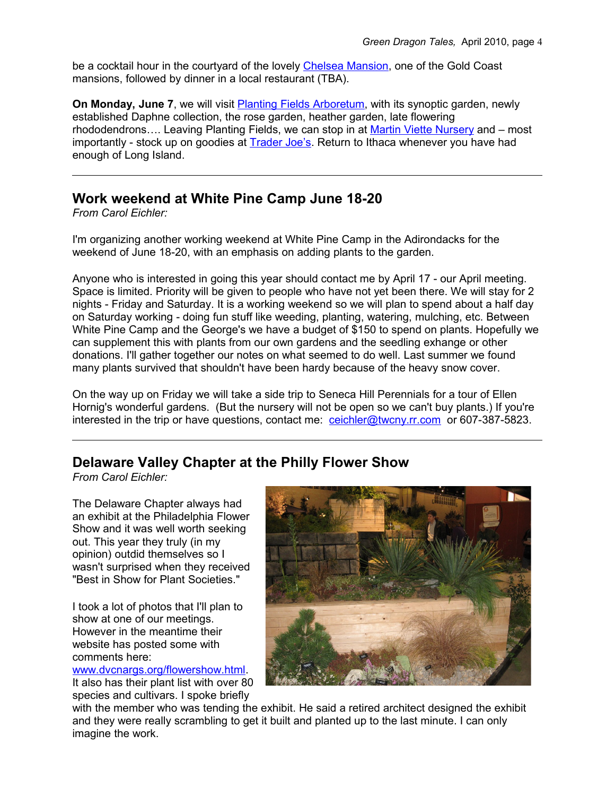be a cocktail hour in the courtyard of the lovely [Chelsea Mansion,](http://chelseamansion.com/) one of the Gold Coast mansions, followed by dinner in a local restaurant (TBA).

**On Monday, June 7**, we will visit **Planting Fields Arboretum**, with its synoptic garden, newly established Daphne collection, the rose garden, heather garden, late flowering rhododendrons…. Leaving Planting Fields, we can stop in at [Martin Viette Nursery](http://www.inthegardenradio.com/) and – most importantly - stock up on goodies at [Trader Joe's.](http://www.traderjoes.com/index.html) Return to Ithaca whenever you have had enough of Long Island.

#### **Work weekend at White Pine Camp June 18-20**

*From Carol Eichler:*

I'm organizing another working weekend at White Pine Camp in the Adirondacks for the weekend of June 18-20, with an emphasis on adding plants to the garden.

Anyone who is interested in going this year should contact me by April 17 - our April meeting. Space is limited. Priority will be given to people who have not yet been there. We will stay for 2 nights - Friday and Saturday. It is a working weekend so we will plan to spend about a half day on Saturday working - doing fun stuff like weeding, planting, watering, mulching, etc. Between White Pine Camp and the George's we have a budget of \$150 to spend on plants. Hopefully we can supplement this with plants from our own gardens and the seedling exhange or other donations. I'll gather together our notes on what seemed to do well. Last summer we found many plants survived that shouldn't have been hardy because of the heavy snow cover.

On the way up on Friday we will take a side trip to Seneca Hill Perennials for a tour of Ellen Hornig's wonderful gardens. (But the nursery will not be open so we can't buy plants.) If you're interested in the trip or have questions, contact me: [ceichler@twcny.rr.com](mailto:ceichler@twcny.rr.com) or 607-387-5823.

#### **Delaware Valley Chapter at the Philly Flower Show**

*From Carol Eichler:*

The Delaware Chapter always had an exhibit at the Philadelphia Flower Show and it was well worth seeking out. This year they truly (in my opinion) outdid themselves so I wasn't surprised when they received "Best in Show for Plant Societies."

I took a lot of photos that I'll plan to show at one of our meetings. However in the meantime their website has posted some with comments here:

# [www.dvcnargs.org/flowershow.html.](http://www.dvcnargs.org/flowershow.html)

It also has their plant list with over 80 species and cultivars. I spoke briefly



with the member who was tending the exhibit. He said a retired architect designed the exhibit and they were really scrambling to get it built and planted up to the last minute. I can only imagine the work.